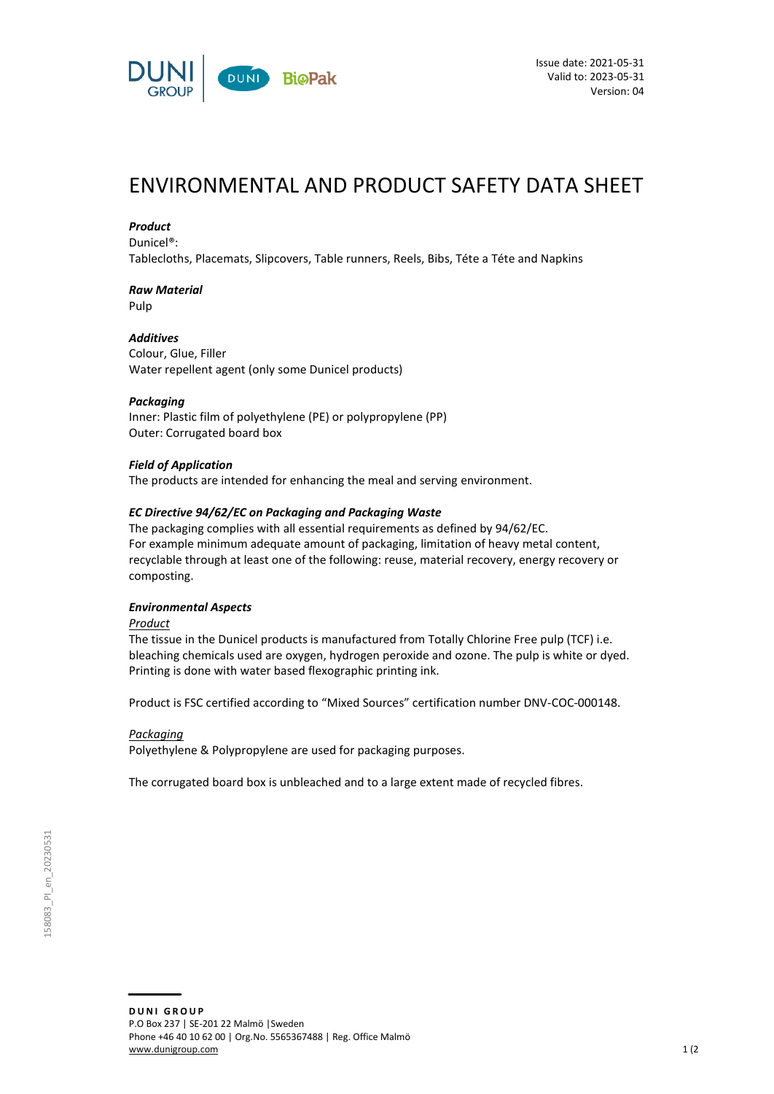

# ENVIRONMENTAL AND PRODUCT SAFETY DATA SHEET

### *Product*

Dunicel®:

Tablecloths, Placemats, Slipcovers, Table runners, Reels, Bibs, Téte a Téte and Napkins

# *Raw Material*

Pulp

## *Additives*

Colour, Glue, Filler Water repellent agent (only some Dunicel products)

### *Packaging*

Inner: Plastic film of polyethylene (PE) or polypropylene (PP) Outer: Corrugated board box

### *Field of Application*

The products are intended for enhancing the meal and serving environment.

### *EC Directive 94/62/EC on Packaging and Packaging Waste*

The packaging complies with all essential requirements as defined by 94/62/EC. For example minimum adequate amount of packaging, limitation of heavy metal content, recyclable through at least one of the following: reuse, material recovery, energy recovery or composting.

### *Environmental Aspects*

*Product*

The tissue in the Dunicel products is manufactured from Totally Chlorine Free pulp (TCF) i.e. bleaching chemicals used are oxygen, hydrogen peroxide and ozone. The pulp is white or dyed. Printing is done with water based flexographic printing ink.

Product is FSC certified according to "Mixed Sources" certification number DNV-COC-000148.

### *Packaging*

Polyethylene & Polypropylene are used for packaging purposes.

The corrugated board box is unbleached and to a large extent made of recycled fibres.